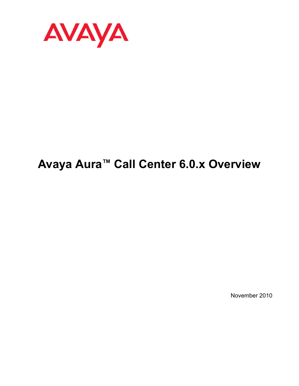

# **Avaya Aura™ Call Center 6.0.x Overview**

November 2010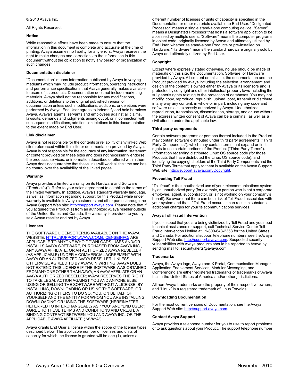<span id="page-1-0"></span>All Rights Reserved.

#### **Notice**

While reasonable efforts have been made to ensure that the information in this document is complete and accurate at the time of printing, Avaya assumes no liability for any errors. Avaya reserves the right to make changes and corrections to the information in this document without the obligation to notify any person or organization of such changes.

#### **Documentation disclaimer**

"Documentation" means information published by Avaya in varying mediums which may include product information, operating instructions and performance specifications that Avaya generally makes available to users of its products. Documentation does not include marketing materials. Avaya shall not be responsible for any modifications, additions, or deletions to the original published version of documentation unless such modifications, additions, or deletions were performed by Avaya. End User agrees to indemnify and hold harmless Avaya, Avaya's agents, servants and employees against all claims, lawsuits, demands and judgments arising out of, or in connection with, subsequent modifications, additions or deletions to this documentation, to the extent made by End User.

#### **Link disclaimer**

Avaya is not responsible for the contents or reliability of any linked Web sites referenced within this site or documentation provided by Avaya. Avaya is not responsible for the accuracy of any information, statement or content provided on these sites and does not necessarily endorse the products, services, or information described or offered within them. Avaya does not guarantee that these links will work all the time and has no control over the availability of the linked pages.

#### **Warranty**

Avaya provides a limited warranty on its Hardware and Software ("Product(s)"). Refer to your sales agreement to establish the terms of the limited warranty. In addition, Avaya's standard warranty language, as well as information regarding support for this Product while under warranty is available to Avaya customers and other parties through the Avaya Support Web site: [http://support.avaya.com.](http://support.avaya.com) Please note that if you acquired the Product(s) from an authorized Avaya reseller outside of the United States and Canada, the warranty is provided to you by said Avaya reseller and not by Avaya.

#### **Licenses**

THE SOFTWARE LICENSE TERMS AVAILABLE ON THE AVAYA WEBSITE, [HTTP://SUPPORT.AVAYA.COM/LICENSEINFO/](http://www.avaya.com/support/LicenseInfo) ARE APPLICABLE TO ANYONE WHO DOWNLOADS, USES AND/OR INSTALLS AVAYA SOFTWARE, PURCHASED FROM AVAYA INC., ANY AVAYA AFFILIATE, OR AN AUTHORIZED AVAYA RESELLER (AS APPLICABLE) UNDER A COMMERCIAL AGREEMENT WITH AVAYA OR AN AUTHORIZED AVAYA RESELLER. UNLESS OTHERWISE AGREED TO BY AVAYA IN WRITING, AVAYA DOES NOT EXTEND THIS LICENSE IF THE SOFTWARE WAS OBTAINED FROM ANYONE OTHER THAN AVAYA, AN AVAYA AFFILIATE OR AN AVAYA AUTHORIZED RESELLER; AVAYA RESERVES THE RIGHT TO TAKE LEGAL ACTION AGAINST YOU AND ANYONE ELSE USING OR SELLING THE SOFTWARE WITHOUT A LICENSE. BY INSTALLING, DOWNLOADING OR USING THE SOFTWARE, OR AUTHORIZING OTHERS TO DO SO, YOU, ON BEHALF OF YOURSELF AND THE ENTITY FOR WHOM YOU ARE INSTALLING. DOWNLOADING OR USING THE SOFTWARE (HEREINAFTER REFERRED TO INTERCHANGEABLY AS "YOU" AND "END USER"), AGREE TO THESE TERMS AND CONDITIONS AND CREATE A BINDING CONTRACT BETWEEN YOU AND AVAYA INC. OR THE APPLICABLE AVAYA AFFILIATE ( "AVAYA").

Avaya grants End User a license within the scope of the license types described below. The applicable number of licenses and units of capacity for which the license is granted will be one (1), unless a

different number of licenses or units of capacity is specified in the Documentation or other materials available to End User. "Designated Processor" means a single stand-alone computing device. "Server means a Designated Processor that hosts a software application to be accessed by multiple users. "Software" means the computer programs in object code, originally licensed by Avaya and ultimately utilized by End User, whether as stand-alone Products or pre-installed on Hardware. "Hardware" means the standard hardware originally sold by Avaya and ultimately utilized by End User.

#### **Copyright**

Except where expressly stated otherwise, no use should be made of materials on this site, the Documentation, Software, or Hardware provided by Avaya. All content on this site, the documentation and the Product provided by Avaya including the selection, arrangement and design of the content is owned either by Avaya or its licensors and is protected by copyright and other intellectual property laws including the sui generis rights relating to the protection of databases. You may not modify, copy, reproduce, republish, upload, post, transmit or distribute in any way any content, in whole or in part, including any code and software unless expressly authorized by Avaya. Unauthorized reproduction, transmission, dissemination, storage, and or use without the express written consent of Avaya can be a criminal, as well as a civil offense under the applicable law.

#### **Third-party components**

Certain software programs or portions thereof included in the Product may contain software distributed under third party agreements ("Third Party Components"), which may contain terms that expand or limit rights to use certain portions of the Product ("Third Party Terms"). Information regarding distributed Linux OS source code (for those Products that have distributed the Linux OS source code), and identifying the copyright holders of the Third Party Components and the Third Party Terms that apply to them is available on the Avaya Support Web site:<http://support.avaya.com/Copyright>

#### **Preventing Toll Fraud**

"Toll fraud" is the unauthorized use of your telecommunications system by an unauthorized party (for example, a person who is not a corporate employee, agent, subcontractor, or is not working on your company's behalf). Be aware that there can be a risk of Toll Fraud associated with your system and that, if Toll Fraud occurs, it can result in substantial additional charges for your telecommunications services.

#### **Avaya Toll Fraud Intervention**

If you suspect that you are being victimized by Toll Fraud and you need technical assistance or support, call Technical Service Center Toll Fraud Intervention Hotline at +1-800-643-2353 for the United States and Canada. For additional support telephone numbers, see the Avaya Support Web site: <http://support.avaya.com>. Suspected security vulnerabilities with Avaya products should be reported to Avaya by sending mail to: securityalerts@avaya.com.

#### **Trademarks**

Avaya, the Avaya logo, Avaya one-X Portal, Communication Manager, Application Enablement Services, Modular Messaging, and Conferencing are either registered trademarks or trademarks of Avaya Inc. in the United States of America and/or other jurisdictions.

All non-Avaya trademarks are the property of their respective owners, and "Linux" is a registered trademark of Linus Torvalds.

#### **Downloading Documentation**

For the most current versions of Documentation, see the Avaya Support Web site: <http://support.avaya.com>.

#### **Contact Avaya Support**

Avaya provides a telephone number for you to use to report problems or to ask questions about your Product. The support telephone number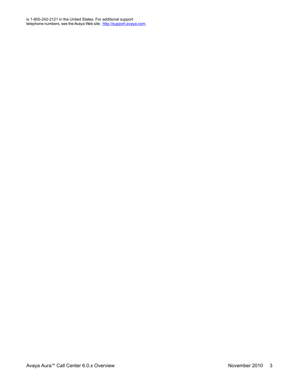is 1-800-242-2121 in the United States. For additional support telephone numbers, see the Avaya Web site: [http://support.avaya.com.](http://support.avaya.com)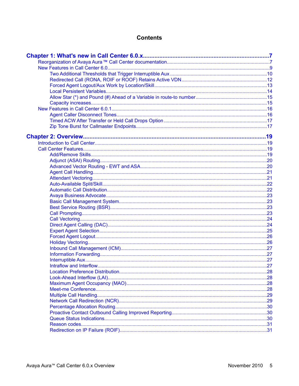#### **Contents**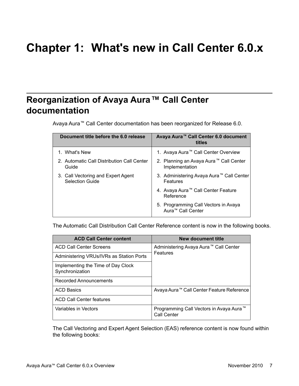# <span id="page-6-0"></span>**Chapter 1: What's new in Call Center 6.0.x**

# **Reorganization of Avaya Aura™ Call Center documentation**

| Document title before the 6.0 release                 | Avaya Aura <sup>™</sup> Call Center 6.0 document<br>titles            |
|-------------------------------------------------------|-----------------------------------------------------------------------|
| 1. What's New                                         | 1. Avaya Aura™ Call Center Overview                                   |
| 2. Automatic Call Distribution Call Center<br>Guide   | 2. Planning an Avaya Aura™ Call Center<br>Implementation              |
| 3. Call Vectoring and Expert Agent<br>Selection Guide | 3. Administering Avaya Aura™ Call Center<br>Features                  |
|                                                       | 4. Avaya Aura <sup>™</sup> Call Center Feature<br>Reference           |
|                                                       | 5. Programming Call Vectors in Avaya<br>Aura <sup>™</sup> Call Center |

Avaya Aura™ Call Center documentation has been reorganized for Release 6.0.

The Automatic Call Distribution Call Center Reference content is now in the following books.

| <b>ACD Call Center content</b>                        | <b>New document title</b>                              |  |
|-------------------------------------------------------|--------------------------------------------------------|--|
| ACD Call Center Screens                               | Administering Avaya Aura™ Call Center                  |  |
| Administering VRUs/IVRs as Station Ports              | Features                                               |  |
| Implementing the Time of Day Clock<br>Synchronization |                                                        |  |
| Recorded Announcements                                |                                                        |  |
| <b>ACD Basics</b>                                     | Avaya Aura <sup>™</sup> Call Center Feature Reference  |  |
| <b>ACD Call Center features</b>                       |                                                        |  |
| Variables in Vectors                                  | Programming Call Vectors in Avaya Aura™<br>Call Center |  |

The Call Vectoring and Expert Agent Selection (EAS) reference content is now found within the following books: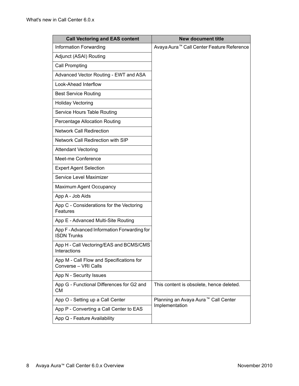| <b>Call Vectoring and EAS content</b>                             | <b>New document title</b>                             |  |
|-------------------------------------------------------------------|-------------------------------------------------------|--|
| <b>Information Forwarding</b>                                     | Avaya Aura <sup>™</sup> Call Center Feature Reference |  |
| Adjunct (ASAI) Routing                                            |                                                       |  |
| Call Prompting                                                    |                                                       |  |
| Advanced Vector Routing - EWT and ASA                             |                                                       |  |
| Look-Ahead Interflow                                              |                                                       |  |
| <b>Best Service Routing</b>                                       |                                                       |  |
| <b>Holiday Vectoring</b>                                          |                                                       |  |
| Service Hours Table Routing                                       |                                                       |  |
| <b>Percentage Allocation Routing</b>                              |                                                       |  |
| <b>Network Call Redirection</b>                                   |                                                       |  |
| <b>Network Call Redirection with SIP</b>                          |                                                       |  |
| <b>Attendant Vectoring</b>                                        |                                                       |  |
| Meet-me Conference                                                |                                                       |  |
| <b>Expert Agent Selection</b>                                     |                                                       |  |
| Service Level Maximizer                                           |                                                       |  |
| Maximum Agent Occupancy                                           |                                                       |  |
| App A - Job Aids                                                  |                                                       |  |
| App C - Considerations for the Vectoring<br>Features              |                                                       |  |
| App E - Advanced Multi-Site Routing                               |                                                       |  |
| App F - Advanced Information Forwarding for<br><b>ISDN Trunks</b> |                                                       |  |
| App H - Call Vectoring/EAS and BCMS/CMS<br>Interactions           |                                                       |  |
| App M - Call Flow and Specifications for<br>Converse - VRI Calls  |                                                       |  |
| App N - Security Issues                                           |                                                       |  |
| App G - Functional Differences for G2 and<br>CМ                   | This content is obsolete, hence deleted.              |  |
| App O - Setting up a Call Center                                  | Planning an Avaya Aura ™ Call Center                  |  |
| App P - Converting a Call Center to EAS                           | Implementation                                        |  |
| App Q - Feature Availability                                      |                                                       |  |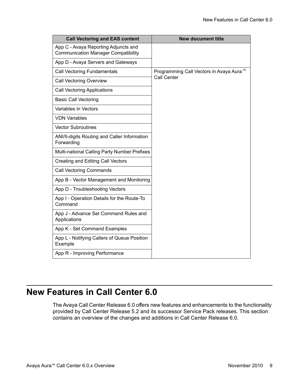<span id="page-8-0"></span>

| <b>Call Vectoring and EAS content</b>                                              | <b>New document title</b>                |
|------------------------------------------------------------------------------------|------------------------------------------|
| App C - Avaya Reporting Adjuncts and<br><b>Communication Manager Compatibility</b> |                                          |
| App D - Avaya Servers and Gateways                                                 |                                          |
| Call Vectoring Fundamentals                                                        | Programming Call Vectors in Avaya Aura ™ |
| Call Vectoring Overview                                                            | Call Center                              |
| <b>Call Vectoring Applications</b>                                                 |                                          |
| <b>Basic Call Vectoring</b>                                                        |                                          |
| Variables in Vectors                                                               |                                          |
| <b>VDN Variables</b>                                                               |                                          |
| <b>Vector Subroutines</b>                                                          |                                          |
| <b>ANI/II-digits Routing and Caller Information</b><br>Forwarding                  |                                          |
| Multi-national Calling Party Number Prefixes                                       |                                          |
| Creating and Editing Call Vectors                                                  |                                          |
| <b>Call Vectoring Commands</b>                                                     |                                          |
| App B - Vector Management and Monitoring                                           |                                          |
| App D - Troubleshooting Vectors                                                    |                                          |
| App I - Operation Details for the Route-To<br>Command                              |                                          |
| App J - Advance Set Command Rules and<br>Applications                              |                                          |
| App K - Set Command Examples                                                       |                                          |
| App L - Notifying Callers of Queue Position<br>Example                             |                                          |
| App R - Improving Performance                                                      |                                          |

# **New Features in Call Center 6.0**

The Avaya Call Center Release 6.0 offers new features and enhancements to the functionality provided by Call Center Release 5.2 and its successor Service Pack releases. This section contains an overview of the changes and additions in Call Center Release 6.0.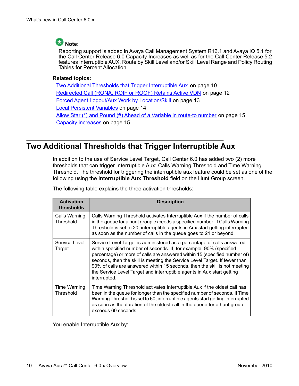# <span id="page-9-0"></span> $\bullet$  Note:

Reporting support is added in Avaya Call Management System R16.1 and Avaya IQ 5.1 for the Call Center Release 6.0 Capacity Increases as well as for the Call Center Release 5.2 features Interruptible AUX, Route by Skill Level and/or Skill Level Range and Policy Routing Tables for Percent Allocation.

#### **Related topics:**

Two Additional Thresholds that Trigger Interruptible Aux on page 10 [Redirected Call \(RONA, ROIF or ROOF\) Retains Active VDN](#page-11-0) on page 12 [Forced Agent Logout/Aux Work by Location/Skill](#page-12-0) on page 13 [Local Persistent Variables](#page-13-0) on page 14 [Allow Star \(\\*\) and Pound \(#\) Ahead of a Variable in route-to number](#page-14-0) on page 15 [Capacity increases](#page-14-0) on page 15

# **Two Additional Thresholds that Trigger Interruptible Aux**

In addition to the use of Service Level Target, Call Center 6.0 has added two (2) more thresholds that can trigger Interruptible Aux: Calls Warning Threshold and Time Warning Threshold. The threshold for triggering the interruptible aux feature could be set as one of the following using the **Interruptible Aux Threshold** field on the Hunt Group screen.

| <b>Activation</b><br>thresholds | <b>Description</b>                                                                                                                                                                                                                                                                                                                                                                                                                                                               |
|---------------------------------|----------------------------------------------------------------------------------------------------------------------------------------------------------------------------------------------------------------------------------------------------------------------------------------------------------------------------------------------------------------------------------------------------------------------------------------------------------------------------------|
| Calls Warning<br>Threshold      | Calls Warning Threshold activates Interruptible Aux if the number of calls<br>in the queue for a hunt group exceeds a specified number. If Calls Warning<br>Threshold is set to 20, interruptible agents in Aux start getting interrupted<br>as soon as the number of calls in the queue goes to 21 or beyond.                                                                                                                                                                   |
| Service Level<br>Target         | Service Level Target is administered as a percentage of calls answered<br>within specified number of seconds. If, for example, 90% (specified<br>percentage) or more of calls are answered within 15 (specified number of)<br>seconds, then the skill is meeting the Service Level Target. If fewer than<br>90% of calls are answered within 15 seconds, then the skill is not meeting<br>the Service Level Target and interruptible agents in Aux start getting<br>interrupted. |
| Time Warning<br>Threshold       | Time Warning Threshold activates Interruptible Aux if the oldest call has<br>been in the queue for longer than the specified number of seconds. If Time<br>Warning Threshold is set to 60, interruptible agents start getting interrupted<br>as soon as the duration of the oldest call in the queue for a hunt group<br>exceeds 60 seconds.                                                                                                                                     |

The following table explains the three activation thresholds:

You enable Interruptible Aux by: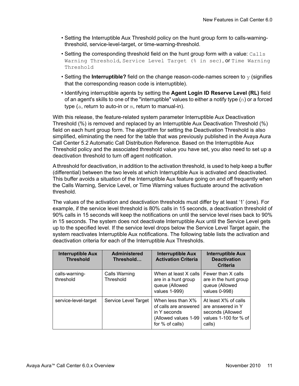- Setting the Interruptible Aux Threshold policy on the hunt group form to calls-warningthreshold, service-level-target, or time-warning-threshold.
- Setting the corresponding threshold field on the hunt group form with a value: Calls Warning Threshold, Service Level Target (% in sec), or Time Warning Threshold
- Setting the **Interruptible?** field on the change reason-code-names screen to  $\sqrt{y}$  (signifies that the corresponding reason code is interruptible).
- Identifying interruptible agents by setting the **Agent Login ID Reserve Level (RL)** field of an agent's skills to one of the "interruptible" values to either a notify type  $(n)$  or a forced type (a, return to auto-in or m, return to manual-in).

With this release, the feature-related system parameter Interruptible Aux Deactivation Threshold (%) is removed and replaced by an Interruptible Aux Deactivation Threshold (%) field on each hunt group form. The algorithm for setting the Deactivation Threshold is also simplified, eliminating the need for the table that was previously published in the Avaya Aura Call Center 5.2 Automatic Call Distribution Reference. Based on the Interruptible Aux Threshold policy and the associated threshold value you have set, you also need to set up a deactivation threshold to turn off agent notification.

A threshold for deactivation, in addition to the activation threshold, is used to help keep a buffer (differential) between the two levels at which Interruptible Aux is activated and deactivated. This buffer avoids a situation of the Interruptible Aux feature going on and off frequently when the Calls Warning, Service Level, or Time Warning values fluctuate around the activation threshold.

The values of the activation and deactivation thresholds must differ by at least '1' (one). For example, if the service level threshold is 80% calls in 15 seconds, a deactivation threshold of 90% calls in 15 seconds will keep the notifications on until the service level rises back to 90% in 15 seconds. The system does not deactivate Interruptible Aux until the Service Level gets up to the specified level. If the service level drops below the Service Level Target again, the system reactivates Interruptible Aux notifications. The following table lists the activation and deactivation criteria for each of the Interruptible Aux Thresholds.

| <b>Interruptible Aux</b><br><b>Threshold</b> | <b>Administered</b><br>Threshold | <b>Interruptible Aux</b><br><b>Activation Criteria</b>                                                   | <b>Interruptible Aux</b><br><b>Deactivation</b><br>Criteria                                      |
|----------------------------------------------|----------------------------------|----------------------------------------------------------------------------------------------------------|--------------------------------------------------------------------------------------------------|
| calls-warning-<br>threshold                  | Calls Warning<br>Threshold       | When at least X calls<br>are in a hunt group<br>queue (Allowed<br>values 1-999)                          | Fewer than X calls<br>are in the hunt group<br>queue (Allowed<br>values 0-998)                   |
| service-level-target                         | Service Level Target             | When less than $X\%$<br>of calls are answered<br>in Y seconds<br>(Allowed values 1-99<br>for % of calls) | At least X% of calls<br>are answered in Y<br>seconds (Allowed<br>values 1-100 for % of<br>calls) |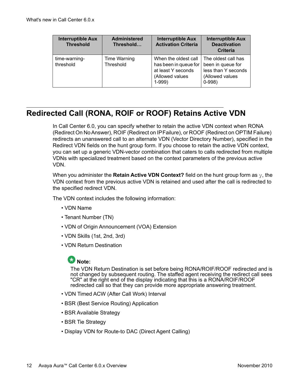<span id="page-11-0"></span>

| <b>Interruptible Aux</b><br><b>Threshold</b> | <b>Administered</b><br>Threshold | <b>Interruptible Aux</b><br><b>Activation Criteria</b>                                            | <b>Interruptible Aux</b><br><b>Deactivation</b><br><b>Criteria</b>                              |
|----------------------------------------------|----------------------------------|---------------------------------------------------------------------------------------------------|-------------------------------------------------------------------------------------------------|
| time-warning-<br>threshold                   | Time Warning<br>Threshold        | When the oldest call<br>has been in queue for<br>at least Y seconds<br>(Allowed values<br>$1-999$ | The oldest call has<br>been in queue for<br>less than Y seconds<br>(Allowed values<br>$0 - 998$ |

# **Redirected Call (RONA, ROIF or ROOF) Retains Active VDN**

In Call Center 6.0, you can specify whether to retain the active VDN context when RONA (Redirect On No Answer), ROIF (Redirect on IP Failure), or ROOF (Redirect on OPTIM Failure) redirects an unanswered call to an alternate VDN (Vector Directory Number), specified in the Redirect VDN fields on the hunt group form. If you choose to retain the active VDN context, you can set up a generic VDN-vector combination that caters to calls redirected from multiple VDNs with specialized treatment based on the context parameters of the previous active VDN.

When you administer the **Retain Active VDN Context?** field on the hunt group form as y, the VDN context from the previous active VDN is retained and used after the call is redirected to the specified redirect VDN.

The VDN context includes the following information:

- VDN Name
- Tenant Number (TN)
- VDN of Origin Announcement (VOA) Extension
- VDN Skills (1st, 2nd, 3rd)
- VDN Return Destination

# $\bullet$  Note:

The VDN Return Destination is set before being RONA/ROIF/ROOF redirected and is not changed by subsequent routing. The staffed agent receiving the redirect call sees "CR" at the right end of the display indicating that this is a RONA/ROIF/ROOF redirected call so that they can provide more appropriate answering treatment.

- VDN Timed ACW (After Call Work) Interval
- BSR (Best Service Routing) Application
- BSR Available Strategy
- BSR Tie Strategy
- Display VDN for Route-to DAC (Direct Agent Calling)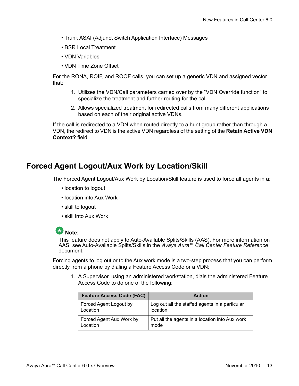- <span id="page-12-0"></span>• Trunk ASAI (Adjunct Switch Application Interface) Messages
- BSR Local Treatment
- VDN Variables
- VDN Time Zone Offset

For the RONA, ROIF, and ROOF calls, you can set up a generic VDN and assigned vector that:

- 1. Utilizes the VDN/Call parameters carried over by the "VDN Override function" to specialize the treatment and further routing for the call.
- 2. Allows specialized treatment for redirected calls from many different applications based on each of their original active VDNs.

If the call is redirected to a VDN when routed directly to a hunt group rather than through a VDN, the redirect to VDN is the active VDN regardless of the setting of the **Retain Active VDN Context?** field.

# **Forced Agent Logout/Aux Work by Location/Skill**

The Forced Agent Logout/Aux Work by Location/Skill feature is used to force all agents in a:

- location to logout
- location into Aux Work
- skill to logout
- skill into Aux Work

# **Note:**

This feature does not apply to Auto-Available Splits/Skills (AAS). For more information on AAS, see Auto-Available Splits/Skills in the *Avaya Aura™ Call Center Feature Reference* document.

Forcing agents to log out or to the Aux work mode is a two-step process that you can perform directly from a phone by dialing a Feature Access Code or a VDN:

1. A Supervisor, using an administered workstation, dials the administered Feature Access Code to do one of the following:

| <b>Feature Access Code (FAC)</b> | <b>Action</b>                                  |
|----------------------------------|------------------------------------------------|
| Forced Agent Logout by           | Log out all the staffed agents in a particular |
| Location                         | location                                       |
| Forced Agent Aux Work by         | Put all the agents in a location into Aux work |
| Location                         | mode                                           |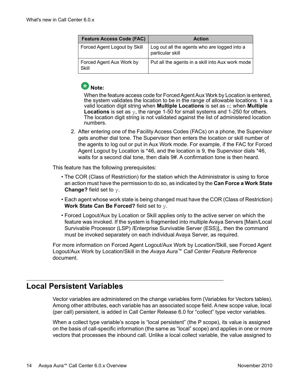<span id="page-13-0"></span>

| <b>Feature Access Code (FAC)</b>  | <b>Action</b>                                                    |
|-----------------------------------|------------------------------------------------------------------|
| Forced Agent Logout by Skill      | Log out all the agents who are logged into a<br>particular skill |
| Forced Agent Aux Work by<br>Skill | Put all the agents in a skill into Aux work mode                 |

# **Note:**

When the feature access code for Forced Agent Aux Work by Location is entered, the system validates the location to be in the range of allowable locations. 1 is a valid location digit string when **Multiple Locations** is set as n; when **Multiple Locations** is set as y, the range 1-50 for small systems and 1-250 for others. The location digit string is not validated against the list of administered location numbers.

2. After entering one of the Facility Access Codes (FACs) on a phone, the Supervisor gets another dial tone. The Supervisor then enters the location or skill number of the agents to log out or put in Aux Work mode. For example, if the FAC for Forced Agent Logout by Location is \*46, and the location is 9, the Supervisor dials \*46, waits for a second dial tone, then dials 9#. A confirmation tone is then heard.

This feature has the following prerequisites:

- The COR (Class of Restriction) for the station which the Administrator is using to force an action must have the permission to do so, as indicated by the **Can Force a Work State Change?** field set to y.
- Each agent whose work state is being changed must have the COR (Class of Restriction) **Work State Can Be Forced?** field set to y.
- Forced Logout/Aux by Location or Skill applies only to the active server on which the feature was invoked. If the system is fragmented into multiple Avaya Servers [Main/Local Survivable Processor (LSP) /Enterprise Survivable Server (ESS)],, then the command must be invoked separately on each individual Avaya Server, as required.

For more information on Forced Agent Logout/Aux Work by Location/Skill, see Forced Agent Logout/Aux Work by Location/Skill in the *Avaya Aura™ Call Center Feature Reference* document.

# **Local Persistent Variables**

Vector variables are administered on the change variables form (Variables for Vectors tables). Among other attributes, each variable has an associated scope field. A new scope value, local (per call) persistent, is added in Call Center Release 6.0 for "collect" type vector variables.

When a collect type variable's scope is "local persistent" (the P scope), its value is assigned on the basis of call-specific information (the same as "local" scope) and applies in one or more vectors that processes the inbound call. Unlike a local collect variable, the value assigned to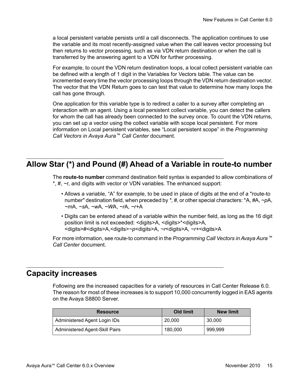<span id="page-14-0"></span>a local persistent variable persists until a call disconnects. The application continues to use the variable and its most recently-assigned value when the call leaves vector processing but then returns to vector processing, such as via VDN return destination or when the call is transferred by the answering agent to a VDN for further processing.

For example, to count the VDN return destination loops, a local collect persistent variable can be defined with a length of 1 digit in the Variables for Vectors table. The value can be incremented every time the vector processing loops through the VDN return destination vector. The vector that the VDN Return goes to can test that value to determine how many loops the call has gone through.

One application for this variable type is to redirect a caller to a survey after completing an interaction with an agent. Using a local persistent collect variable, you can detect the callers for whom the call has already been connected to the survey once. To count the VDN returns, you can set up a vector using the collect variable with scope local persistent. For more information on Local persistent variables, see "Local persistent scope" in the *Programming Call Vectors in Avaya Aura™ Call Center* document.

# **Allow Star (\*) and Pound (#) Ahead of a Variable in route-to number**

The **route-to number** command destination field syntax is expanded to allow combinations of \*, #, ~r, and digits with vector or VDN variables. The enhanced support:

- Allows a variable, "A" for example, to be used in place of digits at the end of a "route-to number" destination field, when preceded by *\**, *#*, or other special characters: \*A, *#*A, *~p*A, *~m*A, *~s*A, *~w*A, *~W*A, *~r*A, *~r+*A
- Digits can be entered ahead of a variable within the number field, as long as the 16 digit position limit is not exceeded: <digits>A, <digits>\*<digits>A, <digits>#<digits>A,<digits>*~p*<digits>A, *~r*<digits>A, *~r+*<digits>A

For more information, see route-to command in the *Programming Call Vectors in Avaya Aura ™ Call Center* document.

#### **Capacity increases**

Following are the increased capacities for a variety of resources in Call Center Release 6.0. The reason for most of these increases is to support 10,000 concurrently logged in EAS agents on the Avaya S8800 Server.

| <b>Resource</b>                       | <b>Old limit</b> | <b>New limit</b> |
|---------------------------------------|------------------|------------------|
| Administered Agent Login IDs          | 20,000           | 30.000           |
| <b>Administered Agent-Skill Pairs</b> | 180,000          | 999.999          |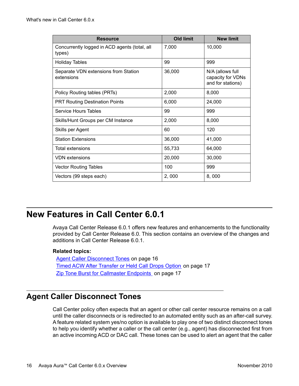<span id="page-15-0"></span>

| <b>Resource</b>                                         | <b>Old limit</b> | <b>New limit</b>                                           |
|---------------------------------------------------------|------------------|------------------------------------------------------------|
| Concurrently logged in ACD agents (total, all<br>types) | 7,000            | 10,000                                                     |
| <b>Holiday Tables</b>                                   | 99               | 999                                                        |
| Separate VDN extensions from Station<br>extensions      | 36,000           | N/A (allows full<br>capacity for VDNs<br>and for stations) |
| Policy Routing tables (PRTs)                            | 2,000            | 8,000                                                      |
| <b>PRT Routing Destination Points</b>                   | 6,000            | 24,000                                                     |
| <b>Service Hours Tables</b>                             | 99               | 999                                                        |
| Skills/Hunt Groups per CM Instance                      | 2,000            | 8,000                                                      |
| Skills per Agent                                        | 60               | 120                                                        |
| <b>Station Extensions</b>                               | 36,000           | 41,000                                                     |
| <b>Total extensions</b>                                 | 55,733           | 64,000                                                     |
| <b>VDN</b> extensions                                   | 20,000           | 30,000                                                     |
| <b>Vector Routing Tables</b>                            | 100              | 999                                                        |
| Vectors (99 steps each)                                 | 2,000            | 8,000                                                      |

# **New Features in Call Center 6.0.1**

Avaya Call Center Release 6.0.1 offers new features and enhancements to the functionality provided by Call Center Release 6.0. This section contains an overview of the changes and additions in Call Center Release 6.0.1.

#### **Related topics:**

Agent Caller Disconnect Tones on page 16 [Timed ACW After Transfer or Held Call Drops Option](#page-16-0) on page 17 [Zip Tone Burst for Callmaster Endpoints](#page-16-0) on page 17

# **Agent Caller Disconnect Tones**

Call Center policy often expects that an agent or other call center resource remains on a call until the caller disconnects or is redirected to an automated entity such as an after-call survey. A feature related system yes/no option is available to play one of two distinct disconnect tones to help you identify whether a caller or the call center (e.g., agent) has disconnected first from an active incoming ACD or DAC call. These tones can be used to alert an agent that the caller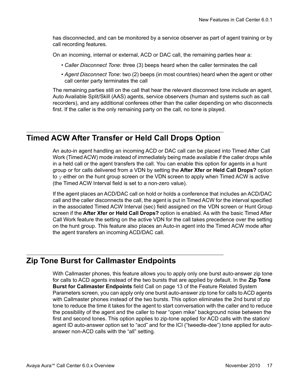<span id="page-16-0"></span>has disconnected, and can be monitored by a service observer as part of agent training or by call recording features.

On an incoming, internal or external, ACD or DAC call, the remaining parties hear a:

- *Caller Disconnect Tone*: three (3) beeps heard when the caller terminates the call
- *Agent Disconnect Tone*: two (2) beeps (in most countries) heard when the agent or other call center party terminates the call

The remaining parties still on the call that hear the relevant disconnect tone include an agent, Auto Available Split/Skill (AAS) agents, service observers (human and systems such as call recorders), and any additional conferees other than the caller depending on who disconnects first. If the caller is the only remaining party on the call, no tone is played.

# **Timed ACW After Transfer or Held Call Drops Option**

An auto-in agent handling an incoming ACD or DAC call can be placed into Timed After Call Work (Timed ACW) mode instead of immediately being made available if the caller drops while in a held call or the agent transfers the call. You can enable this option for agents in a hunt group or for calls delivered from a VDN by setting the **After Xfer or Held Call Drops?** option to  $y$  either on the hunt group screen or the VDN screen to apply when Timed ACW is active (the Timed ACW Interval field is set to a non-zero value).

If the agent places an ACD/DAC call on hold or holds a conference that includes an ACD/DAC call and the caller disconnects the call, the agent is put in Timed ACW for the interval specified in the associated Timed ACW Interval (sec) field assigned on the VDN screen or Hunt Group screen if the **After Xfer or Held Call Drops?** option is enabled. As with the basic Timed After Call Work feature the setting on the active VDN for the call takes precedence over the setting on the hunt group. This feature also places an Auto-in agent into the Timed ACW mode after the agent transfers an incoming ACD/DAC call.

# **Zip Tone Burst for Callmaster Endpoints**

With Callmaster phones, this feature allows you to apply only one burst auto-answer zip tone for calls to ACD agents instead of the two bursts that are applied by default. In the **Zip Tone Burst for Callmaster Endpoints** field Call on page 13 of the Feature Related System Parameters screen, you can apply only one burst auto-answer zip tone for calls to ACD agents with Callmaster phones instead of the two bursts. This option eliminates the 2nd burst of zip tone to reduce the time it takes for the agent to start conversation with the caller and to reduce the possibility of the agent and the caller to hear "open mike" background noise between the first and second tones. This option applies to zip-tone applied for ACD calls with the station/ agent ID auto-answer option set to "acd" and for the ICI ("tweedle-dee") tone applied for autoanswer non-ACD calls with the "all" setting.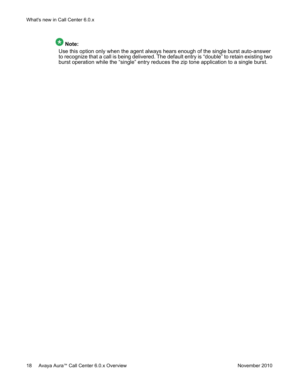

Use this option only when the agent always hears enough of the single burst auto-answer to recognize that a call is being delivered. The default entry is "double" to retain existing two burst operation while the "single" entry reduces the zip tone application to a single burst.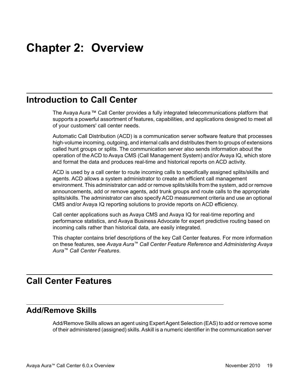# <span id="page-18-0"></span>**Chapter 2: Overview**

# **Introduction to Call Center**

The Avava Aura ™ Call Center provides a fully integrated telecommunications platform that supports a powerful assortment of features, capabilities, and applications designed to meet all of your customers' call center needs.

Automatic Call Distribution (ACD) is a communication server software feature that processes high-volume incoming, outgoing, and internal calls and distributes them to groups of extensions called hunt groups or splits. The communication server also sends information about the operation of the ACD to Avaya CMS (Call Management System) and/or Avaya IQ, which store and format the data and produces real-time and historical reports on ACD activity.

ACD is used by a call center to route incoming calls to specifically assigned splits/skills and agents. ACD allows a system administrator to create an efficient call management environment. This administrator can add or remove splits/skills from the system, add or remove announcements, add or remove agents, add trunk groups and route calls to the appropriate splits/skills. The administrator can also specify ACD measurement criteria and use an optional CMS and/or Avaya IQ reporting solutions to provide reports on ACD efficiency.

Call center applications such as Avaya CMS and Avaya IQ for real-time reporting and performance statistics, and Avaya Business Advocate for expert predictive routing based on incoming calls rather than historical data, are easily integrated.

This chapter contains brief descriptions of the key Call Center features. For more information on these features, see *Avaya Aura™ Call Center Feature Reference* and *Administering Avaya Aura™ Call Center Features*.

# **Call Center Features**

### **Add/Remove Skills**

Add/Remove Skills allows an agent using Expert Agent Selection (EAS) to add or remove some of their administered (assigned) skills. A skill is a numeric identifier in the communication server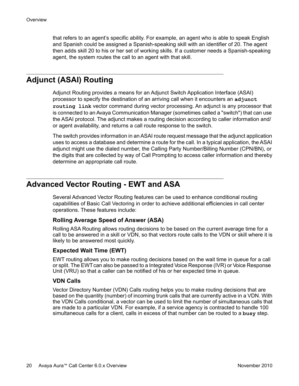<span id="page-19-0"></span>that refers to an agent's specific ability. For example, an agent who is able to speak English and Spanish could be assigned a Spanish-speaking skill with an identifier of 20. The agent then adds skill 20 to his or her set of working skills. If a customer needs a Spanish-speaking agent, the system routes the call to an agent with that skill.

# **Adjunct (ASAI) Routing**

Adjunct Routing provides a means for an Adjunct Switch Application Interface (ASAI) processor to specify the destination of an arriving call when it encounters an **adjunct routing link** vector command during vector processing. An adjunct is any processor that is connected to an Avaya Communication Manager (sometimes called a "switch") that can use the ASAI protocol. The adjunct makes a routing decision according to caller information and/ or agent availability, and returns a call route response to the switch.

The switch provides information in an ASAI route request message that the adjunct application uses to access a database and determine a route for the call. In a typical application, the ASAI adjunct might use the dialed number, the Calling Party Number/Billing Number (CPN/BN), or the digits that are collected by way of Call Prompting to access caller information and thereby determine an appropriate call route.

# **Advanced Vector Routing - EWT and ASA**

Several Advanced Vector Routing features can be used to enhance conditional routing capabilities of Basic Call Vectoring in order to achieve additional efficiencies in call center operations. These features include:

#### **Rolling Average Speed of Answer (ASA)**

Rolling ASA Routing allows routing decisions to be based on the current average time for a call to be answered in a skill or VDN, so that vectors route calls to the VDN or skill where it is likely to be answered most quickly.

#### **Expected Wait Time (EWT)**

EWT routing allows you to make routing decisions based on the wait time in queue for a call or split. The EWT can also be passed to a Integrated Voice Response (IVR) or Voice Response Unit (VRU) so that a caller can be notified of his or her expected time in queue.

#### **VDN Calls**

Vector Directory Number (VDN) Calls routing helps you to make routing decisions that are based on the quantity (number) of incoming trunk calls that are currently active in a VDN. With the VDN Calls conditional, a vector can be used to limit the number of simultaneous calls that are made to a particular VDN. For example, if a service agency is contracted to handle 100 simultaneous calls for a client, calls in excess of that number can be routed to a **busy** step.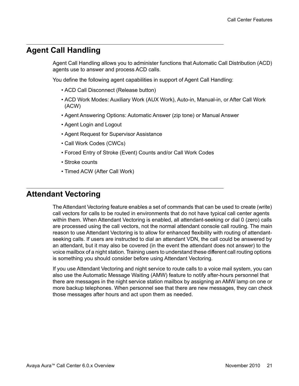### <span id="page-20-0"></span>**Agent Call Handling**

Agent Call Handling allows you to administer functions that Automatic Call Distribution (ACD) agents use to answer and process ACD calls.

You define the following agent capabilities in support of Agent Call Handling:

- ACD Call Disconnect (Release button)
- ACD Work Modes: Auxiliary Work (AUX Work), Auto-in, Manual-in, or After Call Work (ACW)
- Agent Answering Options: Automatic Answer (zip tone) or Manual Answer
- Agent Login and Logout
- Agent Request for Supervisor Assistance
- Call Work Codes (CWCs)
- Forced Entry of Stroke (Event) Counts and/or Call Work Codes
- Stroke counts
- Timed ACW (After Call Work)

#### **Attendant Vectoring**

The Attendant Vectoring feature enables a set of commands that can be used to create (write) call vectors for calls to be routed in environments that do not have typical call center agents within them. When Attendant Vectoring is enabled, all attendant-seeking or dial 0 (zero) calls are processed using the call vectors, not the normal attendant console call routing. The main reason to use Attendant Vectoring is to allow for enhanced flexibility with routing of attendantseeking calls. If users are instructed to dial an attendant VDN, the call could be answered by an attendant, but it may also be covered (in the event the attendant does not answer) to the voice mailbox of a night station. Training users to understand these different call routing options is something you should consider before using Attendant Vectoring.

If you use Attendant Vectoring and night service to route calls to a voice mail system, you can also use the Automatic Message Waiting (AMW) feature to notify after-hours personnel that there are messages in the night service station mailbox by assigning an AMW lamp on one or more backup telephones. When personnel see that there are new messages, they can check those messages after hours and act upon them as needed.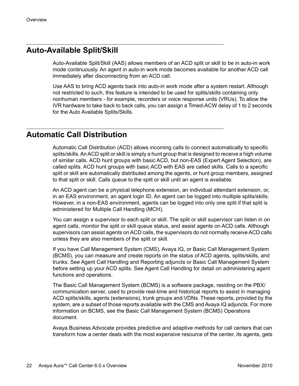# <span id="page-21-0"></span>**Auto-Available Split/Skill**

Auto-Available Split/Skill (AAS) allows members of an ACD split or skill to be in auto-in work mode continuously. An agent in auto-in work mode becomes available for another ACD call immediately after disconnecting from an ACD call.

Use AAS to bring ACD agents back into auto-in work mode after a system restart. Although not restricted to such, this feature is intended to be used for splits/skills containing only nonhuman members - for example, recorders or voice response units (VRUs). To allow the IVR hardware to take back to back calls, you can assign a Timed-ACW delay of 1 to 2 seconds for the Auto Available Splits/Skills.

# **Automatic Call Distribution**

Automatic Call Distribution (ACD) allows incoming calls to connect automatically to specific splits/skills. An ACD split or skill is simply a hunt group that is designed to receive a high volume of similar calls. ACD hunt groups with basic ACD, but non-EAS (Expert Agent Selection), are called splits. ACD hunt groups with basic ACD with EAS are called skills. Calls to a specific split or skill are automatically distributed among the agents, or hunt group members, assigned to that split or skill. Calls queue to the split or skill until an agent is available.

An ACD agent can be a physical telephone extension, an individual attendant extension, or, in an EAS environment, an agent login ID. An agent can be logged into multiple splits/skills. However, in a non-EAS environment, agents can be logged into only one split if that split is administered for Multiple Call Handling (MCH).

You can assign a supervisor to each split or skill. The split or skill supervisor can listen in on agent calls, monitor the split or skill queue status, and assist agents on ACD calls. Although supervisors can assist agents on ACD calls, the supervisors do not normally receive ACD calls unless they are also members of the split or skill.

If you have Call Management System (CMS), Avaya IQ, or Basic Call Management System (BCMS), you can measure and create reports on the status of ACD agents, splits/skills, and trunks. See Agent Call Handling and Reporting adjuncts or Basic Call Management System before setting up your ACD splits. See Agent Call Handling for detail on administering agent functions and operations.

The Basic Call Management System (BCMS) is a software package, residing on the PBX/ communication server, used to provide real-time and historical reports to assist in managing ACD splits/skills, agents (extensions), trunk groups and VDNs. These reports, provided by the system, are a subset of those reports available with the CMS and Avaya IQ adjuncts. For more information on BCMS, see the Basic Call Management System (BCMS) Operations document.

Avaya Business Advocate provides predictive and adaptive methods for call centers that can transform how a center deals with the most expensive resource of the center, its agents, gets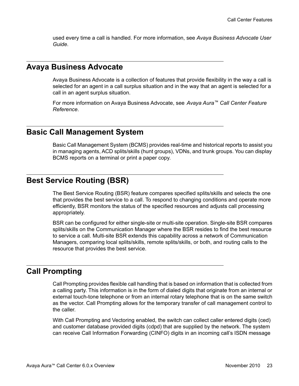<span id="page-22-0"></span>used every time a call is handled. For more information, see *Avaya Business Advocate User Guide*.

#### **Avaya Business Advocate**

Avaya Business Advocate is a collection of features that provide flexibility in the way a call is selected for an agent in a call surplus situation and in the way that an agent is selected for a call in an agent surplus situation.

For more information on Avaya Business Advocate, see *Avaya Aura™ Call Center Feature Reference*.

#### **Basic Call Management System**

Basic Call Management System (BCMS) provides real-time and historical reports to assist you in managing agents, ACD splits/skills (hunt groups), VDNs, and trunk groups. You can display BCMS reports on a terminal or print a paper copy.

# **Best Service Routing (BSR)**

The Best Service Routing (BSR) feature compares specified splits/skills and selects the one that provides the best service to a call. To respond to changing conditions and operate more efficiently, BSR monitors the status of the specified resources and adjusts call processing appropriately.

BSR can be configured for either single-site or multi-site operation. Single-site BSR compares splits/skills on the Communication Manager where the BSR resides to find the best resource to service a call. Multi-site BSR extends this capability across a network of Communication Managers, comparing local splits/skills, remote splits/skills, or both, and routing calls to the resource that provides the best service.

# **Call Prompting**

Call Prompting provides flexible call handling that is based on information that is collected from a calling party. This information is in the form of dialed digits that originate from an internal or external touch-tone telephone or from an internal rotary telephone that is on the same switch as the vector. Call Prompting allows for the temporary transfer of call management control to the caller.

With Call Prompting and Vectoring enabled, the switch can collect caller entered digits (ced) and customer database provided digits (cdpd) that are supplied by the network. The system can receive Call Information Forwarding (CINFO) digits in an incoming call's ISDN message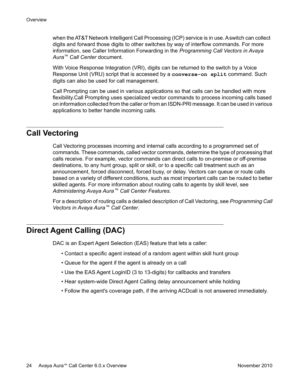<span id="page-23-0"></span>when the AT&T Network Intelligent Call Processing (ICP) service is in use. A switch can collect digits and forward those digits to other switches by way of interflow commands. For more information, see Caller Information Forwarding in the *Programming Call Vectors in Avaya Aura™ Call Center* document.

With Voice Response Integration (VRI), digits can be returned to the switch by a Voice Response Unit (VRU) script that is accessed by a **converse-on split** command. Such digits can also be used for call management.

Call Prompting can be used in various applications so that calls can be handled with more flexibility.Call Prompting uses specialized vector commands to process incoming calls based on information collected from the caller or from an ISDN-PRI message. It can be used in various applications to better handle incoming calls.

#### **Call Vectoring**

Call Vectoring processes incoming and internal calls according to a programmed set of commands. These commands, called vector commands, determine the type of processing that calls receive. For example, vector commands can direct calls to on-premise or off-premise destinations, to any hunt group, split or skill, or to a specific call treatment such as an announcement, forced disconnect, forced busy, or delay. Vectors can queue or route calls based on a variety of different conditions, such as most important calls can be routed to better skilled agents. For more information about routing calls to agents by skill level, see *Administering Avaya Aura™ Call Center Features*.

For a description of routing calls a detailed description of Call Vectoring, see *Programming Call Vectors in Avaya Aura™ Call Center*.

# **Direct Agent Calling (DAC)**

DAC is an Expert Agent Selection (EAS) feature that lets a caller:

- Contact a specific agent instead of a random agent within skill hunt group
- Queue for the agent if the agent is already on a call
- Use the EAS Agent LoginID (3 to 13-digits) for callbacks and transfers
- Hear system-wide Direct Agent Calling delay announcement while holding
- Follow the agent's coverage path, if the arriving ACDcall is not answered immediately.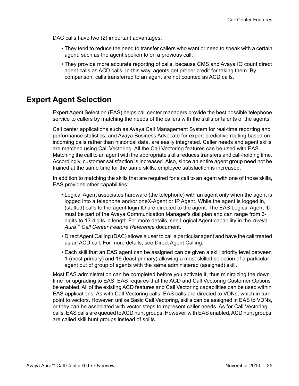<span id="page-24-0"></span>DAC calls have two (2) important advantages:

- They tend to reduce the need to transfer callers who want or need to speak with a certain agent, such as the agent spoken to on a previous call.
- They provide more accurate reporting of calls, because CMS and Avaya IQ count direct agent calls as ACD calls. In this way, agents get proper credit for taking them. By comparison, calls transferred to an agent are not counted as ACD calls.

#### **Expert Agent Selection**

Expert Agent Selection (EAS) helps call center managers provide the best possible telephone service to callers by matching the needs of the callers with the skills or talents of the agents.

Call center applications such as Avaya Call Management System for real-time reporting and performance statistics, and Avaya Business Advocate for expert predictive routing based on incoming calls rather than historical data, are easily integrated. Caller needs and agent skills are matched using Call Vectoring. All the Call Vectoring features can be used with EAS. Matching the call to an agent with the appropriate skills reduces transfers and call-holding time. Accordingly, customer satisfaction is increased. Also, since an entire agent group need not be trained at the same time for the same skills, employee satisfaction is increased.

In addition to matching the skills that are required for a call to an agent with one of those skills, EAS provides other capabilities:

- Logical Agent associates hardware (the telephone) with an agent only when the agent is logged into a telephone and/or oneX-Agent or IP Agent. While the agent is logged in, (staffed) calls to the agent login ID are directed to the agent. The EAS Logical Agent ID must be part of the Avaya Communication Manager's dial plan and can range from 3 digits to 13-digits in length.For more details, see Logical Agent capability in the *Avaya Aura™ Call Center Feature Reference* document.
- Direct Agent Calling (DAC) allows a user to call a particular agent and have the call treated as an ACD call. For more details, see Direct Agent Calling.
- Each skill that an EAS agent can be assigned can be given a skill priority level between 1 (most primary) and 16 (least primary) allowing a most skilled selection of a particular agent out of group of agents with the same administered (assigned) skill.

Most EAS administration can be completed before you activate it, thus minimizing the down time for upgrading to EAS. EAS requires that the ACD and Call Vectoring Customer Options be enabled. All of the existing ACD features and Call Vectoring capabilities can be used within EAS applications. As with Call Vectoring calls, EAS calls are directed to VDNs, which in turn point to vectors. However, unlike Basic Call Vectoring, skills can be assigned in EAS to VDNs, or they can be associated with vector steps to represent caller needs. As for Call Vectoring calls, EAS calls are queued to ACD hunt groups. However, with EAS enabled, ACD hunt groups are called skill hunt groups instead of splits.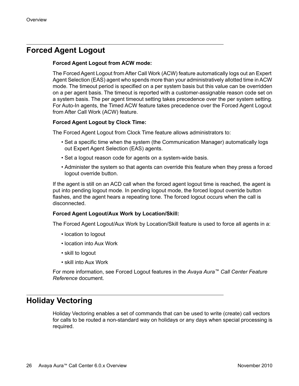# <span id="page-25-0"></span>**Forced Agent Logout**

#### **Forced Agent Logout from ACW mode:**

The Forced Agent Logout from After Call Work (ACW) feature automatically logs out an Expert Agent Selection (EAS) agent who spends more than your administratively allotted time in ACW mode. The timeout period is specified on a per system basis but this value can be overridden on a per agent basis. The timeout is reported with a customer-assignable reason code set on a system basis. The per agent timeout setting takes precedence over the per system setting. For Auto-In agents, the Timed ACW feature takes precedence over the Forced Agent Logout from After Call Work (ACW) feature.

#### **Forced Agent Logout by Clock Time:**

The Forced Agent Logout from Clock Time feature allows administrators to:

- Set a specific time when the system (the Communication Manager) automatically logs out Expert Agent Selection (EAS) agents.
- Set a logout reason code for agents on a system-wide basis.
- Administer the system so that agents can override this feature when they press a forced logout override button.

If the agent is still on an ACD call when the forced agent logout time is reached, the agent is put into pending logout mode. In pending logout mode, the forced logout override button flashes, and the agent hears a repeating tone. The forced logout occurs when the call is disconnected.

#### **Forced Agent Logout/Aux Work by Location/Skill:**

The Forced Agent Logout/Aux Work by Location/Skill feature is used to force all agents in a:

- location to logout
- location into Aux Work
- skill to logout
- skill into Aux Work

For more information, see Forced Logout features in the *Avaya Aura™ Call Center Feature Reference* document.

#### **Holiday Vectoring**

Holiday Vectoring enables a set of commands that can be used to write (create) call vectors for calls to be routed a non-standard way on holidays or any days when special processing is required.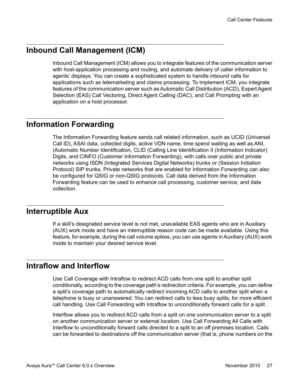#### <span id="page-26-0"></span>**Inbound Call Management (ICM)**

Inbound Call Management (ICM) allows you to integrate features of the communication server with host-application processing and routing, and automate delivery of caller information to agents' displays. You can create a sophisticated system to handle inbound calls for applications such as telemarketing and claims processing. To implement ICM, you integrate features of the communication server such as Automatic Call Distribution (ACD), Expert Agent Selection (EAS) Call Vectoring, Direct Agent Calling (DAC), and Call Prompting with an application on a host processor.

#### **Information Forwarding**

The Information Forwarding feature sends call related information, such as UCID (Universal Call ID), ASAI data, collected digits, active VDN name, time spend waiting as well as ANI, (Automatic Number Identification, CLID (Calling Line Identification II (Information Indicator) Digits, and CINFO (Customer Information Forwarding), with calls over public and private networks using ISDN (Integrated Services Digital Networks) trunks or (Session Initiation Protocol) SIP trunks. Private networks that are enabled for Information Forwarding can also be configured for QSIG or non-QSIG protocols. Call data derived from the Information Forwarding feature can be used to enhance call processing, customer service, and data collection.

#### **Interruptible Aux**

If a skill's designated service level is not met, unavailable EAS agents who are in Auxiliary (AUX) work mode and have an interruptible reason code can be made available. Using this feature, for example, during the call volume spikes, you can use agents in Auxiliary (AUX) work mode to maintain your desired service level.

#### **Intraflow and Interflow**

Use Call Coverage with Intraflow to redirect ACD calls from one split to another split conditionally, according to the coverage path's redirection criteria. For example, you can define a split's coverage path to automatically redirect incoming ACD calls to another split when a telephone is busy or unanswered. You can redirect calls to less busy splits, for more efficient call handling. Use Call Forwarding with Intraflow to unconditionally forward calls for a split .

Interflow allows you to redirect ACD calls from a split on one communication server to a split on another communication server or external location. Use Call Forwarding All Calls with Interflow to unconditionally forward calls directed to a split to an off premises location. Calls can be forwarded to destinations off the communication server (that is, phone numbers on the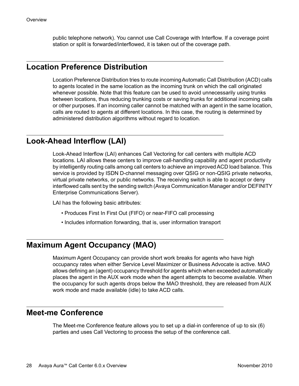<span id="page-27-0"></span>public telephone network). You cannot use Call Coverage with Interflow. If a coverage point station or split is forwarded/interflowed, it is taken out of the coverage path.

### **Location Preference Distribution**

Location Preference Distribution tries to route incoming Automatic Call Distribution (ACD) calls to agents located in the same location as the incoming trunk on which the call originated whenever possible. Note that this feature can be used to avoid unnecessarily using trunks between locations, thus reducing trunking costs or saving trunks for additional incoming calls or other purposes. If an incoming caller cannot be matched with an agent in the same location, calls are routed to agents at different locations. In this case, the routing is determined by administered distribution algorithms without regard to location.

### **Look-Ahead Interflow (LAI)**

Look-Ahead Interflow (LAI) enhances Call Vectoring for call centers with multiple ACD locations. LAI allows these centers to improve call-handling capability and agent productivity by intelligently routing calls among call centers to achieve an improved ACD load balance. This service is provided by ISDN D-channel messaging over QSIG or non-QSIG private networks, virtual private networks, or public networks. The receiving switch is able to accept or deny interflowed calls sent by the sending switch (Avaya Communication Manager and/or DEFINITY Enterprise Communications Server).

LAI has the following basic attributes:

- Produces First In First Out (FIFO) or near-FIFO call processing
- Includes information forwarding, that is, user information transport

# **Maximum Agent Occupancy (MAO)**

Maximum Agent Occupancy can provide short work breaks for agents who have high occupancy rates when either Service Level Maximizer or Business Advocate is active. MAO allows defining an (agent) occupancy threshold for agents which when exceeded automatically places the agent in the AUX work mode when the agent attempts to become available. When the occupancy for such agents drops below the MAO threshold, they are released from AUX work mode and made available (idle) to take ACD calls.

# **Meet-me Conference**

The Meet-me Conference feature allows you to set up a dial-in conference of up to six (6) parties and uses Call Vectoring to process the setup of the conference call.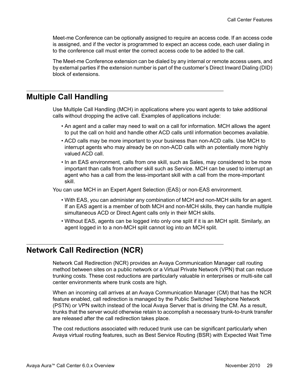<span id="page-28-0"></span>Meet-me Conference can be optionally assigned to require an access code. If an access code is assigned, and if the vector is programmed to expect an access code, each user dialing in to the conference call must enter the correct access code to be added to the call.

The Meet-me Conference extension can be dialed by any internal or remote access users, and by external parties if the extension number is part of the customer's Direct Inward Dialing (DID) block of extensions.

# **Multiple Call Handling**

Use Multiple Call Handling (MCH) in applications where you want agents to take additional calls without dropping the active call. Examples of applications include:

- An agent and a caller may need to wait on a call for information. MCH allows the agent to put the call on hold and handle other ACD calls until information becomes available.
- ACD calls may be more important to your business than non-ACD calls. Use MCH to interrupt agents who may already be on non-ACD calls with an potentially more highly valued ACD call.
- In an EAS environment, calls from one skill, such as Sales, may considered to be more important than calls from another skill such as Service. MCH can be used to interrupt an agent who has a call from the less-important skill with a call from the more-important skill.

You can use MCH in an Expert Agent Selection (EAS) or non-EAS environment.

- With EAS, you can administer any combination of MCH and non-MCH skills for an agent. If an EAS agent is a member of both MCH and non-MCH skills, they can handle multiple simultaneous ACD or Direct Agent calls only in their MCH skills.
- Without EAS, agents can be logged into only one split if it is an MCH split. Similarly, an agent logged in to a non-MCH split cannot log into an MCH split.

# **Network Call Redirection (NCR)**

Network Call Redirection (NCR) provides an Avaya Communication Manager call routing method between sites on a public network or a Virtual Private Network (VPN) that can reduce trunking costs. These cost reductions are particularly valuable in enterprises or multi-site call center environments where trunk costs are high.

When an incoming call arrives at an Avaya Communication Manager (CM) that has the NCR feature enabled, call redirection is managed by the Public Switched Telephone Network (PSTN) or VPN switch instead of the local Avaya Server that is driving the CM. As a result, trunks that the server would otherwise retain to accomplish a necessary trunk-to-trunk transfer are released after the call redirection takes place.

The cost reductions associated with reduced trunk use can be significant particularly when Avaya virtual routing features, such as Best Service Routing (BSR) with Expected Wait Time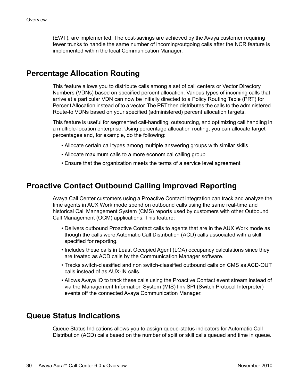<span id="page-29-0"></span>(EWT), are implemented. The cost-savings are achieved by the Avaya customer requiring fewer trunks to handle the same number of incoming/outgoing calls after the NCR feature is implemented within the local Communication Manager.

### **Percentage Allocation Routing**

This feature allows you to distribute calls among a set of call centers or Vector Directory Numbers (VDNs) based on specified percent allocation. Various types of incoming calls that arrive at a particular VDN can now be initially directed to a Policy Routing Table (PRT) for Percent Allocation instead of to a vector. The PRT then distributes the calls to the administered Route-to VDNs based on your specified (administered) percent allocation targets.

This feature is useful for segmented call-handling, outsourcing, and optimizing call handling in a multiple-location enterprise. Using percentage allocation routing, you can allocate target percentages and, for example, do the following:

- Allocate certain call types among multiple answering groups with similar skills
- Allocate maximum calls to a more economical calling group
- Ensure that the organization meets the terms of a service level agreement

### **Proactive Contact Outbound Calling Improved Reporting**

Avaya Call Center customers using a Proactive Contact integration can track and analyze the time agents in AUX Work mode spend on outbound calls using the same real-time and historical Call Management System (CMS) reports used by customers with other Outbound Call Management (OCM) applications. This feature:

- Delivers outbound Proactive Contact calls to agents that are in the AUX Work mode as though the calls were Automatic Call Distribution (ACD) calls associated with a skill specified for reporting.
- Includes these calls in Least Occupied Agent (LOA) occupancy calculations since they are treated as ACD calls by the Communication Manager software.
- Tracks switch-classified and non switch-classified outbound calls on CMS as ACD-OUT calls instead of as AUX-IN calls.
- Allows Avaya IQ to track these calls using the Proactive Contact event stream instead of via the Management Information System (MIS) link SPI (Switch Protocol Interpreter) events off the connected Avaya Communication Manager.

#### **Queue Status Indications**

Queue Status Indications allows you to assign queue-status indicators for Automatic Call Distribution (ACD) calls based on the number of split or skill calls queued and time in queue.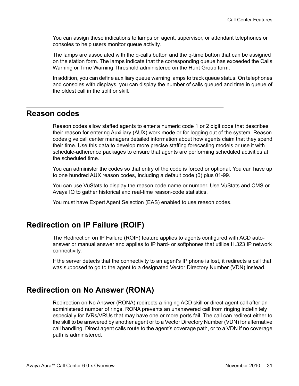<span id="page-30-0"></span>You can assign these indications to lamps on agent, supervisor, or attendant telephones or consoles to help users monitor queue activity.

The lamps are associated with the q-calls button and the q-time button that can be assigned on the station form. The lamps indicate that the corresponding queue has exceeded the Calls Warning or Time Warning Threshold administered on the Hunt Group form.

In addition, you can define auxiliary queue warning lamps to track queue status. On telephones and consoles with displays, you can display the number of calls queued and time in queue of the oldest call in the split or skill.

#### **Reason codes**

Reason codes allow staffed agents to enter a numeric code 1 or 2 digit code that describes their reason for entering Auxiliary (AUX) work mode or for logging out of the system. Reason codes give call center managers detailed information about how agents claim that they spend their time. Use this data to develop more precise staffing forecasting models or use it with schedule-adherence packages to ensure that agents are performing scheduled activities at the scheduled time.

You can administer the codes so that entry of the code is forced or optional. You can have up to one hundred AUX reason codes, including a default code (0) plus 01-99.

You can use VuStats to display the reason code name or number. Use VuStats and CMS or Avaya IQ to gather historical and real-time reason-code statistics.

You must have Expert Agent Selection (EAS) enabled to use reason codes.

# **Redirection on IP Failure (ROIF)**

The Redirection on IP Failure (ROIF) feature applies to agents configured with ACD autoanswer or manual answer and applies to IP hard- or softphones that utilize H.323 IP network connectivity.

If the server detects that the connectivity to an agent's IP phone is lost, it redirects a call that was supposed to go to the agent to a designated Vector Directory Number (VDN) instead.

# **Redirection on No Answer (RONA)**

Redirection on No Answer (RONA) redirects a ringing ACD skill or direct agent call after an administered number of rings. RONA prevents an unanswered call from ringing indefinitely especially for IVRs/VRUs that may have one or more ports fail. The call can redirect either to the skill to be answered by another agent or to a Vector Directory Number (VDN) for alternative call handling. Direct agent calls route to the agent's coverage path, or to a VDN if no coverage path is administered.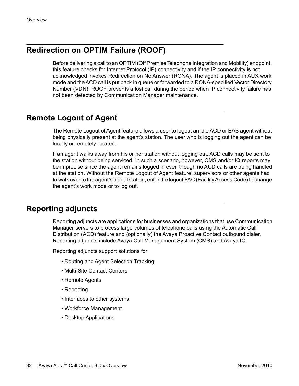# <span id="page-31-0"></span>**Redirection on OPTIM Failure (ROOF)**

Before delivering a call to an OPTIM (Off Premise Telephone Integration and Mobility) endpoint, this feature checks for Internet Protocol (IP) connectivity and if the IP connectivity is not acknowledged invokes Redirection on No Answer (RONA). The agent is placed in AUX work mode and the ACD call is put back in queue or forwarded to a RONA-specified Vector Directory Number (VDN). ROOF prevents a lost call during the period when IP connectivity failure has not been detected by Communication Manager maintenance.

# **Remote Logout of Agent**

The Remote Logout of Agent feature allows a user to logout an idle ACD or EAS agent without being physically present at the agent's station. The user who is logging out the agent can be locally or remotely located.

If an agent walks away from his or her station without logging out, ACD calls may be sent to the station without being serviced. In such a scenario, however, CMS and/or IQ reports may be imprecise since the agent remains logged in even though no ACD calls are being handled at the station. Without the Remote Logout of Agent feature, supervisors or other agents had to walk over to the agent's actual station, enter the logout FAC (Facility Access Code) to change the agent's work mode or to log out.

# **Reporting adjuncts**

Reporting adjuncts are applications for businesses and organizations that use Communication Manager servers to process large volumes of telephone calls using the Automatic Call Distribution (ACD) feature and (optionally) the Avaya Proactive Contact outbound dialer. Reporting adjuncts include Avaya Call Management System (CMS) and Avaya IQ.

Reporting adjuncts support solutions for:

- Routing and Agent Selection Tracking
- Multi-Site Contact Centers
- Remote Agents
- Reporting
- Interfaces to other systems
- Workforce Management
- Desktop Applications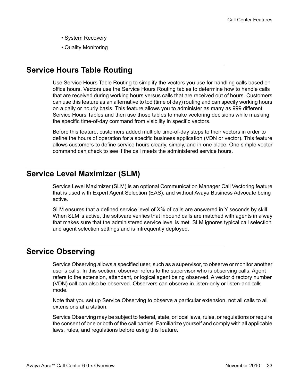- <span id="page-32-0"></span>• System Recovery
- Quality Monitoring

# **Service Hours Table Routing**

Use Service Hours Table Routing to simplify the vectors you use for handling calls based on office hours. Vectors use the Service Hours Routing tables to determine how to handle calls that are received during working hours versus calls that are received out of hours. Customers can use this feature as an alternative to tod (time of day) routing and can specify working hours on a daily or hourly basis. This feature allows you to administer as many as 999 different Service Hours Tables and then use those tables to make vectoring decisions while masking the specific time-of-day command from visibility in specific vectors.

Before this feature, customers added multiple time-of-day steps to their vectors in order to define the hours of operation for a specific business application (VDN or vector). This feature allows customers to define service hours clearly, simply, and in one place. One simple vector command can check to see if the call meets the administered service hours.

### **Service Level Maximizer (SLM)**

Service Level Maximizer (SLM) is an optional Communication Manager Call Vectoring feature that is used with Expert Agent Selection (EAS), and without Avaya Business Advocate being active.

SLM ensures that a defined service level of X% of calls are answered in Y seconds by skill. When SLM is active, the software verifies that inbound calls are matched with agents in a way that makes sure that the administered service level is met. SLM ignores typical call selection and agent selection settings and is infrequently deployed.

# **Service Observing**

Service Observing allows a specified user, such as a supervisor, to observe or monitor another user's calls. In this section, observer refers to the supervisor who is observing calls. Agent refers to the extension, attendant, or logical agent being observed. A vector directory number (VDN) call can also be observed. Observers can observe in listen-only or listen-and-talk mode.

Note that you set up Service Observing to observe a particular extension, not all calls to all extensions at a station.

Service Observing may be subject to federal, state, or local laws, rules, or regulations or require the consent of one or both of the call parties. Familiarize yourself and comply with all applicable laws, rules, and regulations before using this feature.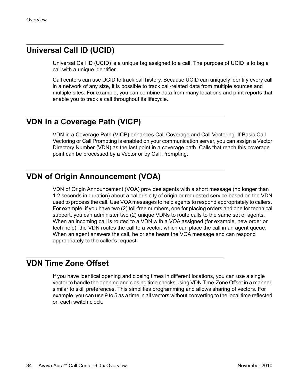# <span id="page-33-0"></span>**Universal Call ID (UCID)**

Universal Call ID (UCID) is a unique tag assigned to a call. The purpose of UCID is to tag a call with a unique identifier.

Call centers can use UCID to track call history. Because UCID can uniquely identify every call in a network of any size, it is possible to track call-related data from multiple sources and multiple sites. For example, you can combine data from many locations and print reports that enable you to track a call throughout its lifecycle.

# **VDN in a Coverage Path (VICP)**

VDN in a Coverage Path (VICP) enhances Call Coverage and Call Vectoring. If Basic Call Vectoring or Call Prompting is enabled on your communication server, you can assign a Vector Directory Number (VDN) as the last point in a coverage path. Calls that reach this coverage point can be processed by a Vector or by Call Prompting.

# **VDN of Origin Announcement (VOA)**

VDN of Origin Announcement (VOA) provides agents with a short message (no longer than 1.2 seconds in duration) about a caller's city of origin or requested service based on the VDN used to process the call. Use VOA messages to help agents to respond appropriately to callers. For example, if you have two (2) toll-free numbers, one for placing orders and one for technical support, you can administer two (2) unique VDNs to route calls to the same set of agents. When an incoming call is routed to a VDN with a VOA assigned (for example, new order or tech help), the VDN routes the call to a vector, which can place the call in an agent queue. When an agent answers the call, he or she hears the VOA message and can respond appropriately to the caller's request.

# **VDN Time Zone Offset**

If you have identical opening and closing times in different locations, you can use a single vector to handle the opening and closing time checks using VDN Time-Zone Offset in a manner similar to skill preferences. This simplifies programming and allows sharing of vectors. For example, you can use 9 to 5 as a time in all vectors without converting to the local time reflected on each switch clock.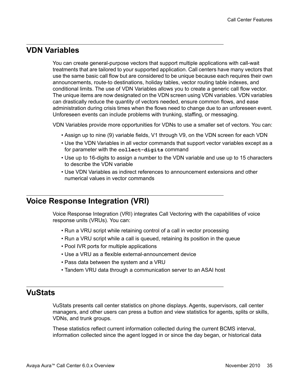#### <span id="page-34-0"></span>**VDN Variables**

You can create general-purpose vectors that support multiple applications with call-wait treatments that are tailored to your supported application. Call centers have many vectors that use the same basic call flow but are considered to be unique because each requires their own announcements, route-to destinations, holiday tables, vector routing table indexes, and conditional limits. The use of VDN Variables allows you to create a generic call flow vector. The unique items are now designated on the VDN screen using VDN variables. VDN variables can drastically reduce the quantity of vectors needed, ensure common flows, and ease administration during crisis times when the flows need to change due to an unforeseen event. Unforeseen events can include problems with trunking, staffing, or messaging.

VDN Variables provide more opportunities for VDNs to use a smaller set of vectors. You can:

- Assign up to nine (9) variable fields, V1 through V9, on the VDN screen for each VDN
- Use the VDN Variables in all vector commands that support vector variables except as a for parameter with the **collect-digits** command
- Use up to 16-digits to assign a number to the VDN variable and use up to 15 characters to describe the VDN variable
- Use VDN Variables as indirect references to announcement extensions and other numerical values in vector commands

#### **Voice Response Integration (VRI)**

Voice Response Integration (VRI) integrates Call Vectoring with the capabilities of voice response units (VRUs). You can:

- Run a VRU script while retaining control of a call in vector processing
- Run a VRU script while a call is queued, retaining its position in the queue
- Pool IVR ports for multiple applications
- Use a VRU as a flexible external-announcement device
- Pass data between the system and a VRU
- Tandem VRU data through a communication server to an ASAI host

#### **VuStats**

VuStats presents call center statistics on phone displays. Agents, supervisors, call center managers, and other users can press a button and view statistics for agents, splits or skills, VDNs, and trunk groups.

These statistics reflect current information collected during the current BCMS interval, information collected since the agent logged in or since the day began, or historical data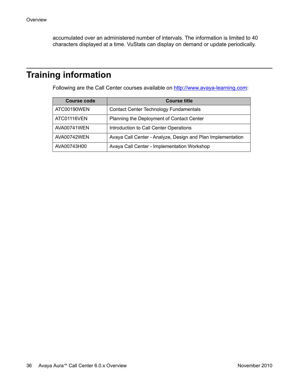<span id="page-35-0"></span>accumulated over an administered number of intervals. The information is limited to 40 characters displayed at a time. VuStats can display on demand or update periodically.

# **Training information**

Following are the Call Center courses available on<http://www.avaya-learning.com>:

| Course code | <b>Course title</b>                                         |
|-------------|-------------------------------------------------------------|
| ATC00190WEN | <b>Contact Center Technology Fundamentals</b>               |
| ATC01116VEN | Planning the Deployment of Contact Center                   |
| AVA00741WEN | Introduction to Call Center Operations                      |
| AVA00742WEN | Avaya Call Center - Analyze, Design and Plan Implementation |
| AVA00743H00 | Avaya Call Center - Implementation Workshop                 |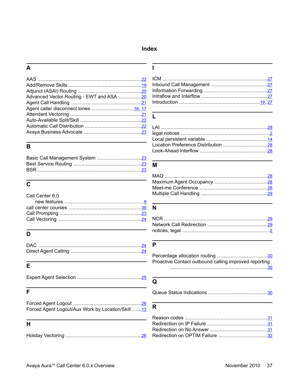#### **Index**

 $\overline{1}$ 

#### <span id="page-36-0"></span> $\mathbf{A}$

#### $\overline{\mathbf{B}}$

# $\overline{c}$

#### Call Center 6.0

#### D

#### $\overline{E}$

|--|--|

#### $\overline{\mathsf{F}}$

| Forced Agent Logout/Aux Work by Location/Skill 13 |  |
|---------------------------------------------------|--|

#### $\overline{H}$

#### $\overline{L}$

#### $\overline{M}$

#### $\overline{\mathsf{N}}$

#### P

| Proactive Contact outbound calling improved reporting |  |
|-------------------------------------------------------|--|
|                                                       |  |

#### $\overline{Q}$

#### $\overline{R}$